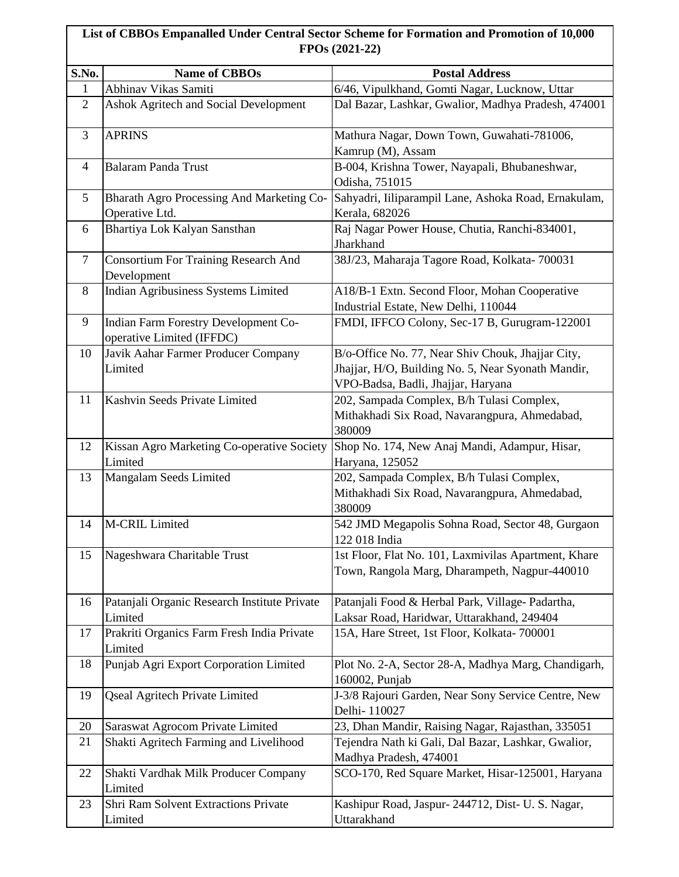## **List of CBBOs Empanalled Under Central Sector Scheme for Formation and Promotion of 10,000 FPOs (2021-22)**

| S.No.          | <b>Name of CBBOs</b>                                              | <b>Postal Address</b>                                                                                                                         |
|----------------|-------------------------------------------------------------------|-----------------------------------------------------------------------------------------------------------------------------------------------|
| 1              | Abhinav Vikas Samiti                                              | 6/46, Vipulkhand, Gomti Nagar, Lucknow, Uttar                                                                                                 |
| $\overline{2}$ | <b>Ashok Agritech and Social Development</b>                      | Dal Bazar, Lashkar, Gwalior, Madhya Pradesh, 474001                                                                                           |
| 3              | <b>APRINS</b>                                                     | Mathura Nagar, Down Town, Guwahati-781006,<br>Kamrup (M), Assam                                                                               |
| 4              | <b>Balaram Panda Trust</b>                                        | B-004, Krishna Tower, Nayapali, Bhubaneshwar,<br>Odisha, 751015                                                                               |
| 5              | Bharath Agro Processing And Marketing Co-<br>Operative Ltd.       | Sahyadri, Iiliparampil Lane, Ashoka Road, Ernakulam,<br>Kerala, 682026                                                                        |
| 6              | Bhartiya Lok Kalyan Sansthan                                      | Raj Nagar Power House, Chutia, Ranchi-834001,<br>Jharkhand                                                                                    |
| $\tau$         | Consortium For Training Research And<br>Development               | 38J/23, Maharaja Tagore Road, Kolkata- 700031                                                                                                 |
| 8              | Indian Agribusiness Systems Limited                               | A18/B-1 Extn. Second Floor, Mohan Cooperative<br>Industrial Estate, New Delhi, 110044                                                         |
| 9              | Indian Farm Forestry Development Co-<br>operative Limited (IFFDC) | FMDI, IFFCO Colony, Sec-17 B, Gurugram-122001                                                                                                 |
| 10             | Javik Aahar Farmer Producer Company<br>Limited                    | B/o-Office No. 77, Near Shiv Chouk, Jhajjar City,<br>Jhajjar, H/O, Building No. 5, Near Syonath Mandir,<br>VPO-Badsa, Badli, Jhajjar, Haryana |
| 11             | Kashvin Seeds Private Limited                                     | 202, Sampada Complex, B/h Tulasi Complex,<br>Mithakhadi Six Road, Navarangpura, Ahmedabad,<br>380009                                          |
| 12             | Kissan Agro Marketing Co-operative Society<br>Limited             | Shop No. 174, New Anaj Mandi, Adampur, Hisar,<br>Haryana, 125052                                                                              |
| 13             | Mangalam Seeds Limited                                            | 202, Sampada Complex, B/h Tulasi Complex,<br>Mithakhadi Six Road, Navarangpura, Ahmedabad,<br>380009                                          |
| 14             | M-CRIL Limited                                                    | 542 JMD Megapolis Sohna Road, Sector 48, Gurgaon<br>122 018 India                                                                             |
| 15             | Nageshwara Charitable Trust                                       | 1st Floor, Flat No. 101, Laxmivilas Apartment, Khare<br>Town, Rangola Marg, Dharampeth, Nagpur-440010                                         |
| 16             | Patanjali Organic Research Institute Private<br>Limited           | Patanjali Food & Herbal Park, Village-Padartha,<br>Laksar Road, Haridwar, Uttarakhand, 249404                                                 |
| 17             | Prakriti Organics Farm Fresh India Private<br>Limited             | 15A, Hare Street, 1st Floor, Kolkata- 700001                                                                                                  |
| 18             | Punjab Agri Export Corporation Limited                            | Plot No. 2-A, Sector 28-A, Madhya Marg, Chandigarh,<br>160002, Punjab                                                                         |
| 19             | <b>Qseal Agritech Private Limited</b>                             | J-3/8 Rajouri Garden, Near Sony Service Centre, New<br>Delhi-110027                                                                           |
| 20             | Saraswat Agrocom Private Limited                                  | 23, Dhan Mandir, Raising Nagar, Rajasthan, 335051                                                                                             |
| 21             | Shakti Agritech Farming and Livelihood                            | Tejendra Nath ki Gali, Dal Bazar, Lashkar, Gwalior,<br>Madhya Pradesh, 474001                                                                 |
| 22             | Shakti Vardhak Milk Producer Company<br>Limited                   | SCO-170, Red Square Market, Hisar-125001, Haryana                                                                                             |
| 23             | Shri Ram Solvent Extractions Private<br>Limited                   | Kashipur Road, Jaspur- 244712, Dist- U. S. Nagar,<br>Uttarakhand                                                                              |